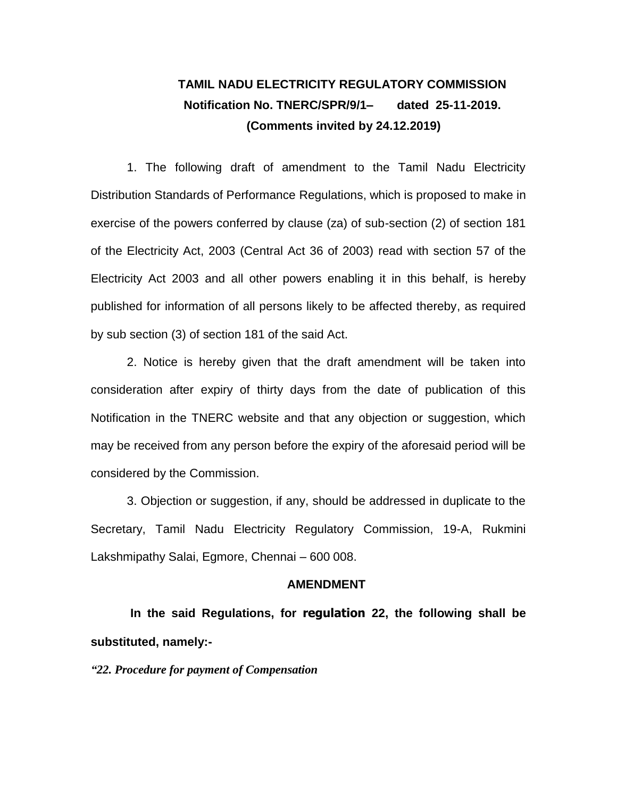## **TAMIL NADU ELECTRICITY REGULATORY COMMISSION Notification No. TNERC/SPR/9/1– dated 25-11-2019. (Comments invited by 24.12.2019)**

1. The following draft of amendment to the Tamil Nadu Electricity Distribution Standards of Performance Regulations, which is proposed to make in exercise of the powers conferred by clause (za) of sub-section (2) of section 181 of the Electricity Act, 2003 (Central Act 36 of 2003) read with section 57 of the Electricity Act 2003 and all other powers enabling it in this behalf, is hereby published for information of all persons likely to be affected thereby, as required by sub section (3) of section 181 of the said Act.

2. Notice is hereby given that the draft amendment will be taken into consideration after expiry of thirty days from the date of publication of this Notification in the TNERC website and that any objection or suggestion, which may be received from any person before the expiry of the aforesaid period will be considered by the Commission.

3. Objection or suggestion, if any, should be addressed in duplicate to the Secretary, Tamil Nadu Electricity Regulatory Commission, 19-A, Rukmini Lakshmipathy Salai, Egmore, Chennai – 600 008.

## **AMENDMENT**

**In the said Regulations, for regulation 22, the following shall be substituted, namely:-**

*"22. Procedure for payment of Compensation*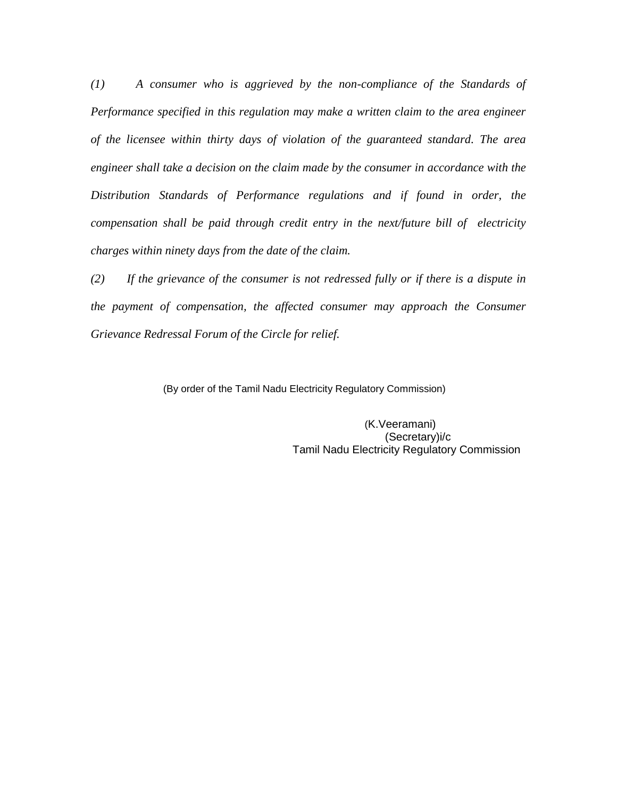*(1) A consumer who is aggrieved by the non-compliance of the Standards of Performance specified in this regulation may make a written claim to the area engineer of the licensee within thirty days of violation of the guaranteed standard. The area engineer shall take a decision on the claim made by the consumer in accordance with the Distribution Standards of Performance regulations and if found in order, the compensation shall be paid through credit entry in the next/future bill of electricity charges within ninety days from the date of the claim.*

*(2) If the grievance of the consumer is not redressed fully or if there is a dispute in the payment of compensation, the affected consumer may approach the Consumer Grievance Redressal Forum of the Circle for relief.*

(By order of the Tamil Nadu Electricity Regulatory Commission)

 (K.Veeramani) (Secretary)i/c Tamil Nadu Electricity Regulatory Commission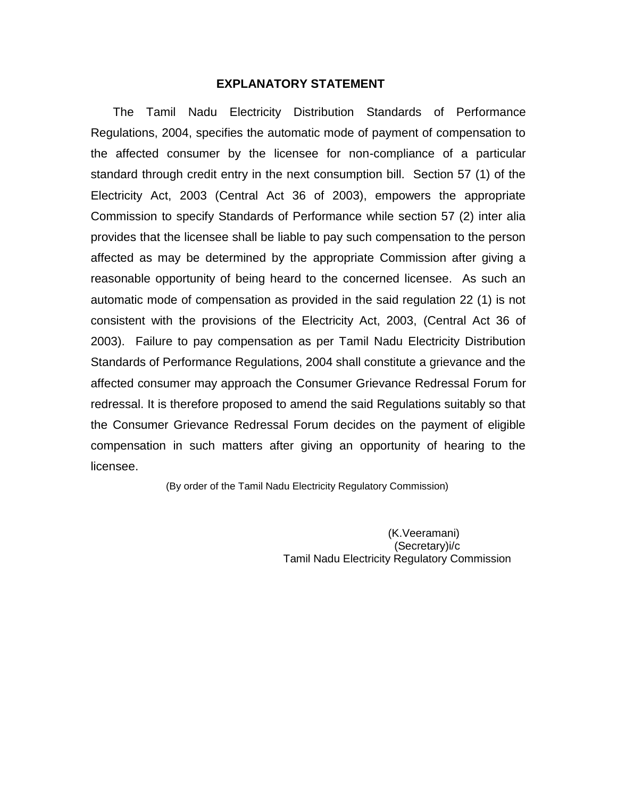## **EXPLANATORY STATEMENT**

 The Tamil Nadu Electricity Distribution Standards of Performance Regulations, 2004, specifies the automatic mode of payment of compensation to the affected consumer by the licensee for non-compliance of a particular standard through credit entry in the next consumption bill. Section 57 (1) of the Electricity Act, 2003 (Central Act 36 of 2003), empowers the appropriate Commission to specify Standards of Performance while section 57 (2) inter alia provides that the licensee shall be liable to pay such compensation to the person affected as may be determined by the appropriate Commission after giving a reasonable opportunity of being heard to the concerned licensee. As such an automatic mode of compensation as provided in the said regulation 22 (1) is not consistent with the provisions of the Electricity Act, 2003, (Central Act 36 of 2003). Failure to pay compensation as per Tamil Nadu Electricity Distribution Standards of Performance Regulations, 2004 shall constitute a grievance and the affected consumer may approach the Consumer Grievance Redressal Forum for redressal. It is therefore proposed to amend the said Regulations suitably so that the Consumer Grievance Redressal Forum decides on the payment of eligible compensation in such matters after giving an opportunity of hearing to the licensee.

(By order of the Tamil Nadu Electricity Regulatory Commission)

 (K.Veeramani) (Secretary)i/c Tamil Nadu Electricity Regulatory Commission